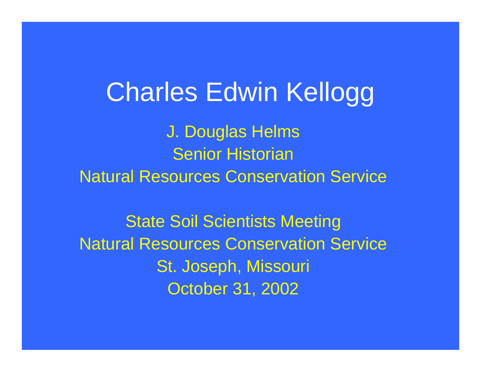### Charles Edwin Kellogg

J. Douglas Helms Senior HistorianNatural Resources Conservation Service

State Soil Scientists Meeting Natural Resources Conservation ServiceSt. Joseph, Missouri October 31, 2002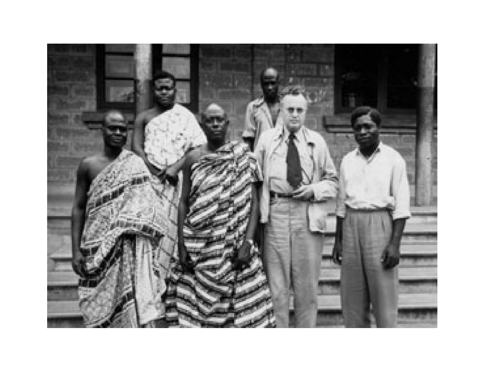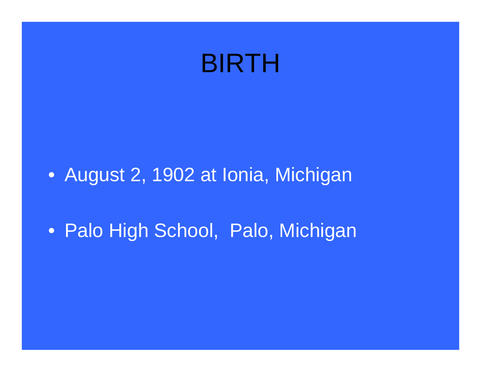

#### • August 2, 1902 at Ionia, Michigan

#### • Palo High School, Palo, Michigan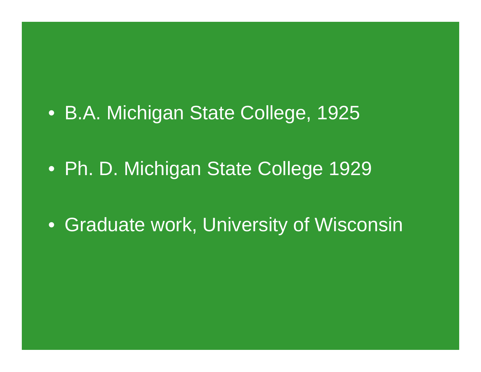#### • B.A. Michigan State College, 1925

• Ph. D. Michigan State College 1929

• Graduate work, University of Wisconsin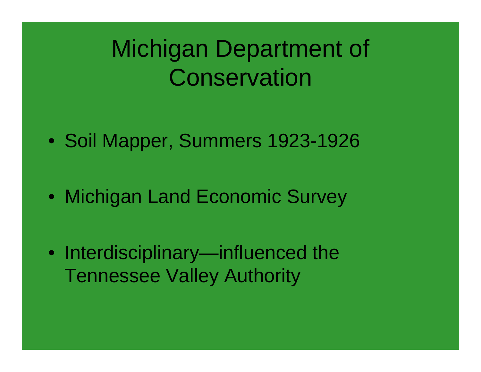Michigan Department of **Conservation** 

• Soil Mapper, Summers 1923-1926

• Michigan Land Economic Survey

• Interdisciplinary—influenced the Tennessee Valley Authority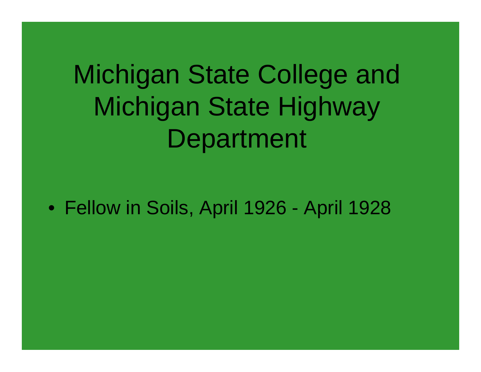Michigan State College and Michigan State Highway Department

• Fellow in Soils, April 1926 - April 1928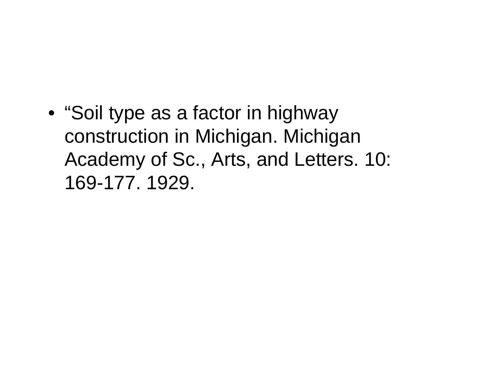• "Soil type as a factor in highway construction in Michigan. Michigan Academy of Sc., Arts, and Letters. 10: 169-177. 1929.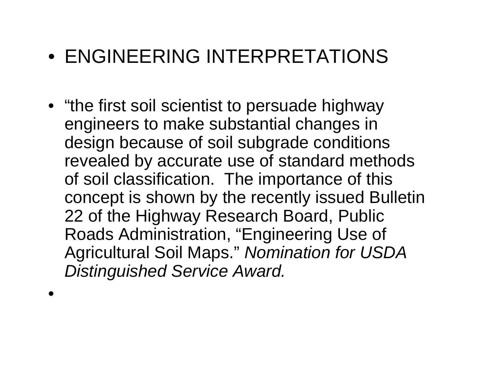#### • ENGINEERING INTERPRETATIONS

• "the first soil scientist to persuade highway" engineers to make substantial changes in design because of soil subgrade conditions revealed by accurate use of standard methods of soil classification. The importance of this concept is shown by the recently issued Bulletin 22 of the Highway Research Board, Public Roads Administration, "Engineering Use of Agricultural Soil Maps." *Nomination for USDA Distinguished Service Award.*

•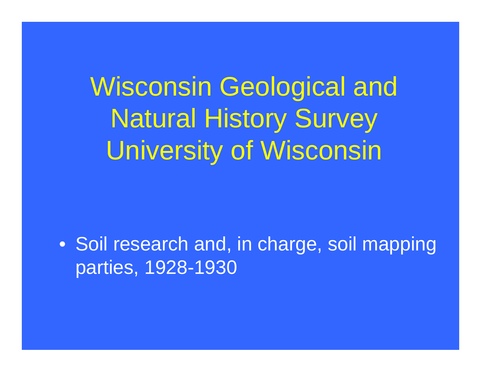Wisconsin Geological and Natural History Survey University of Wisconsin

• Soil research and, in charge, soil mapping parties, 1928-1930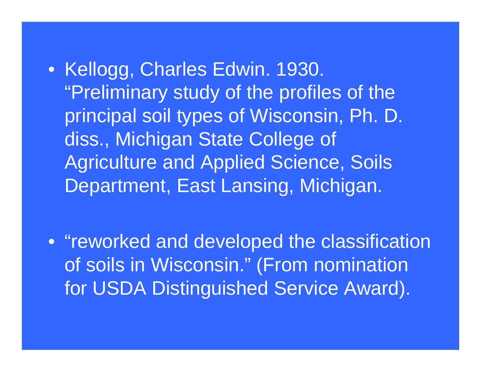• Kellogg, Charles Edwin. 1930. "Preliminary study of the profiles of the principal soil types of Wisconsin, Ph. D. diss., Michigan State College of Agriculture and Applied Science, Soils Department, East Lansing, Michigan.

• "reworked and developed the classification of soils in Wisconsin." (From nomination for USDA Distinguished Service Award).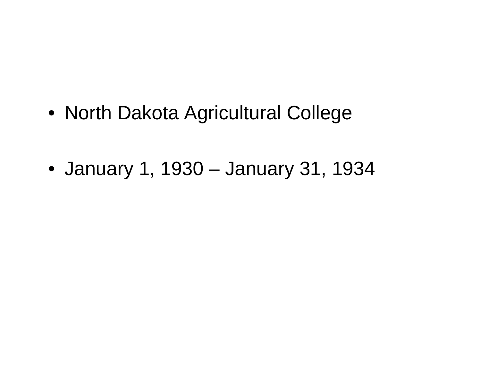• North Dakota Agricultural College

• January 1, 1930 – January 31, 1934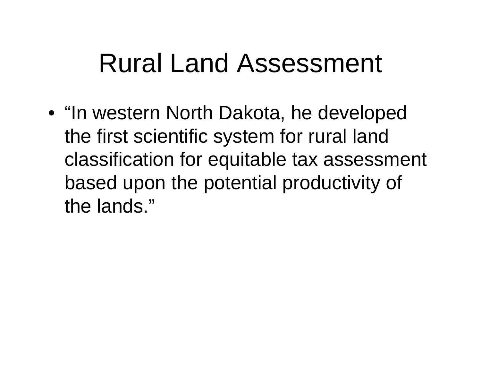## Rural Land Assessment

• "In western North Dakota, he developed the first scientific system for rural land classification for equitable tax assessment based upon the potential productivity of the lands."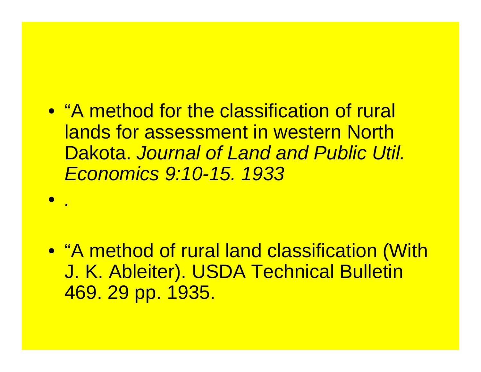• "A method for the classification of rural lands for assessment in western North Dakota. *Journal of Land and Public Util. Economics 9:10-15. 1933*

• *.*

• "A method of rural land classification (With J. K. Ableiter). USDA Technical Bulletin 469. 29 pp. 1935.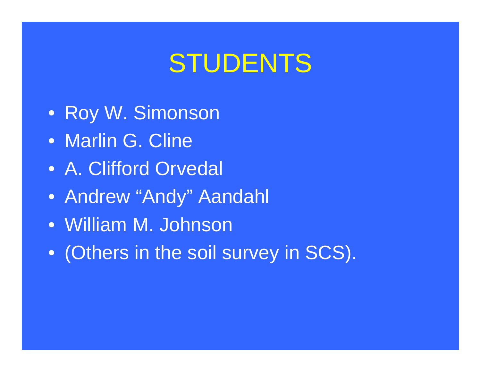## **STUDENTS**

- Roy W. Simonson
- Marlin G. Cline
- A. Clifford Orvedal
- Andrew "Andy" Aandahl
- William M. Johnson
- (Others in the soil survey in SCS).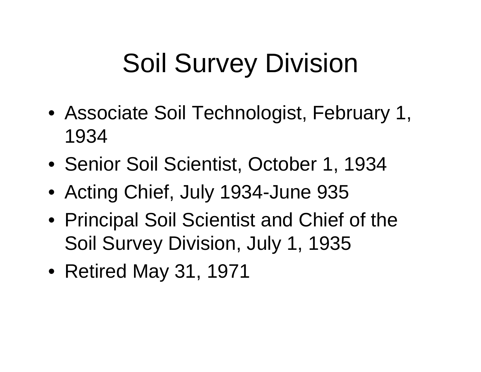## Soil Survey Division

- Associate Soil Technologist, February 1, 1934
- Senior Soil Scientist, October 1, 1934
- Acting Chief, July 1934-June 935
- Principal Soil Scientist and Chief of the Soil Survey Division, July 1, 1935
- Retired May 31, 1971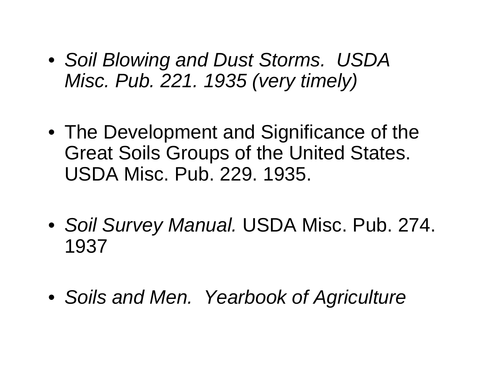- *Soil Blowing and Dust Storms. USDA Misc. Pub. 221. 1935 (very timely)*
- The Development and Significance of the Great Soils Groups of the United States. USDA Misc. Pub. 229. 1935.
- *Soil Survey Manual.* USDA Misc. Pub. 274. 1937
- *Soils and Men. Yearbook of Agriculture*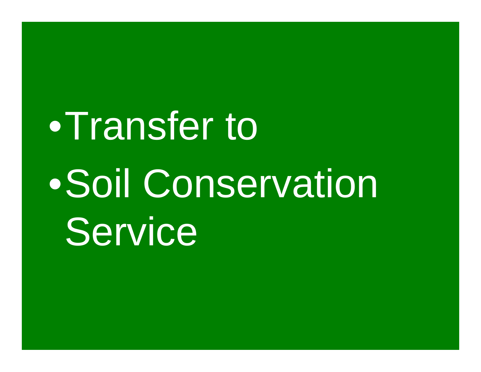•Transfer to •Soil Conservation Service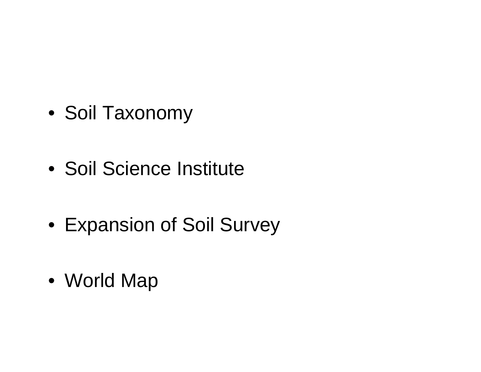• Soil Taxonomy

• Soil Science Institute

• Expansion of Soil Survey

• World Map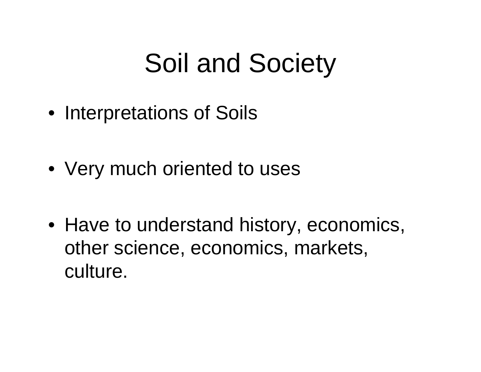## Soil and Society

• Interpretations of Soils

• Very much oriented to uses

• Have to understand history, economics, other science, economics, markets, culture.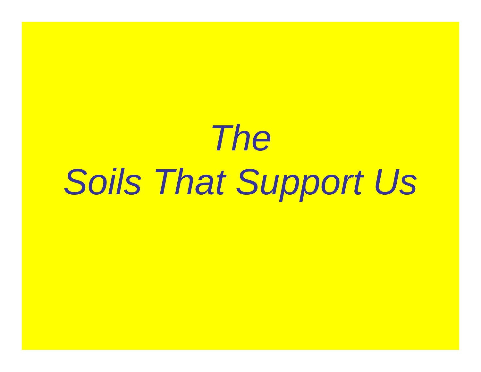# *The Soils That Support Us*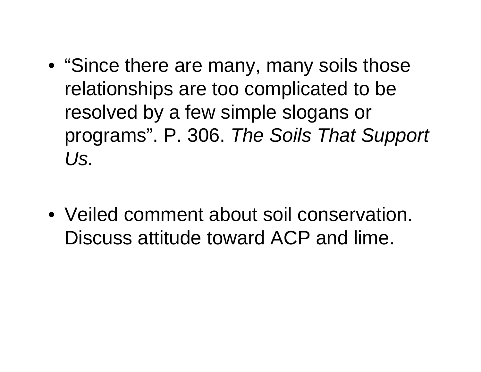• "Since there are many, many soils those relationships are too complicated to be resolved by a few simple slogans or programs". P. 306. *The Soils That Support Us.*

• Veiled comment about soil conservation. Discuss attitude toward ACP and lime.